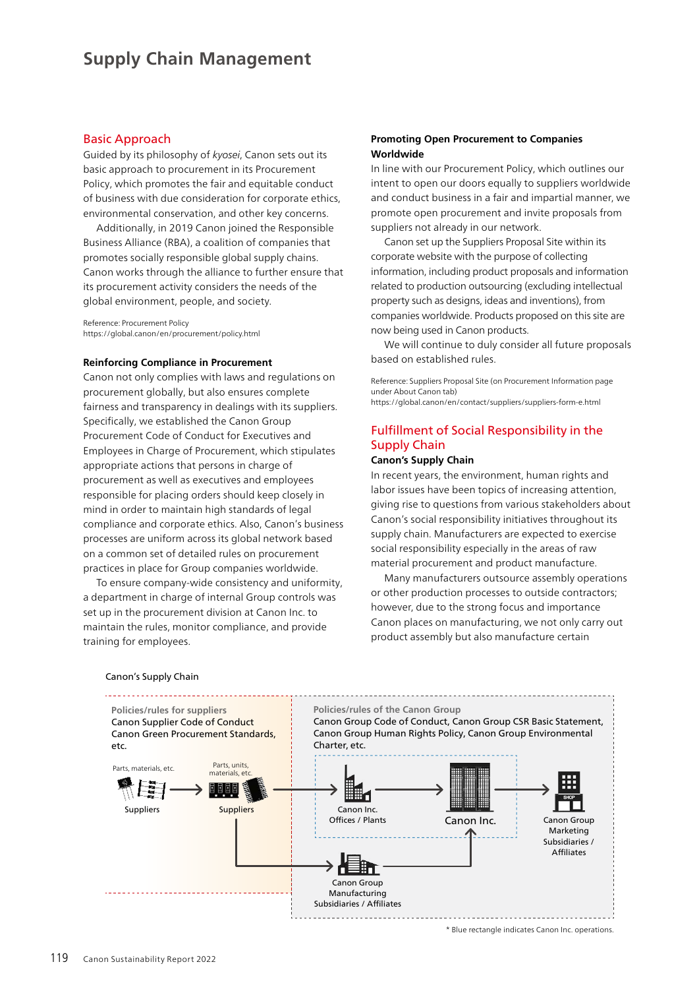## Basic Approach

Guided by its philosophy of *kyosei*, Canon sets out its basic approach to procurement in its Procurement Policy, which promotes the fair and equitable conduct of business with due consideration for corporate ethics, environmental conservation, and other key concerns.

Additionally, in 2019 Canon joined the Responsible Business Alliance (RBA), a coalition of companies that promotes socially responsible global supply chains. Canon works through the alliance to further ensure that its procurement activity considers the needs of the global environment, people, and society.

Reference: Procurement Policy https://global.canon/en/procurement/policy.html

#### **Reinforcing Compliance in Procurement**

Canon not only complies with laws and regulations on procurement globally, but also ensures complete fairness and transparency in dealings with its suppliers. Specifically, we established the Canon Group Procurement Code of Conduct for Executives and Employees in Charge of Procurement, which stipulates appropriate actions that persons in charge of procurement as well as executives and employees responsible for placing orders should keep closely in mind in order to maintain high standards of legal compliance and corporate ethics. Also, Canon's business processes are uniform across its global network based on a common set of detailed rules on procurement practices in place for Group companies worldwide.

To ensure company-wide consistency and uniformity, a department in charge of internal Group controls was set up in the procurement division at Canon Inc. to maintain the rules, monitor compliance, and provide training for employees.

## **Promoting Open Procurement to Companies Worldwide**

In line with our Procurement Policy, which outlines our intent to open our doors equally to suppliers worldwide and conduct business in a fair and impartial manner, we promote open procurement and invite proposals from suppliers not already in our network.

Canon set up the Suppliers Proposal Site within its corporate website with the purpose of collecting information, including product proposals and information related to production outsourcing (excluding intellectual property such as designs, ideas and inventions), from companies worldwide. Products proposed on this site are now being used in Canon products.

We will continue to duly consider all future proposals based on established rules.

Reference: Suppliers Proposal Site (on Procurement Information page under About Canon tab) https://global.canon/en/contact/suppliers/suppliers-form-e.html

# Fulfillment of Social Responsibility in the Supply Chain

### **Canon's Supply Chain**

In recent years, the environment, human rights and labor issues have been topics of increasing attention, giving rise to questions from various stakeholders about Canon's social responsibility initiatives throughout its supply chain. Manufacturers are expected to exercise social responsibility especially in the areas of raw material procurement and product manufacture.

Many manufacturers outsource assembly operations or other production processes to outside contractors; however, due to the strong focus and importance Canon places on manufacturing, we not only carry out product assembly but also manufacture certain



\* Blue rectangle indicates Canon Inc. operations.

Canon's Supply Chain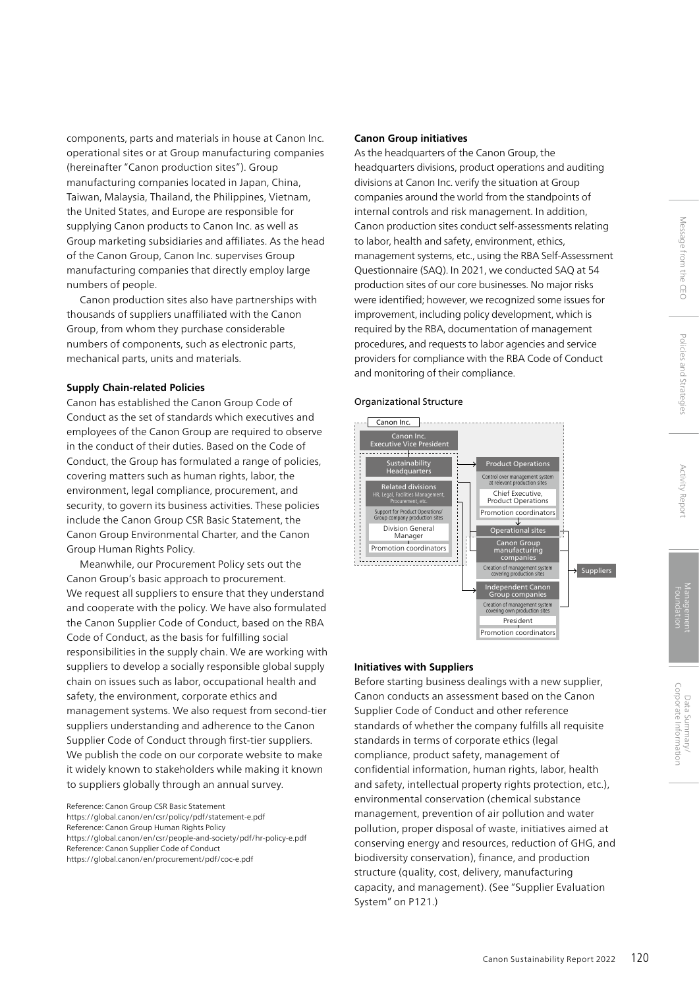components, parts and materials in house at Canon Inc. operational sites or at Group manufacturing companies (hereinafter "Canon production sites"). Group manufacturing companies located in Japan, China, Taiwan, Malaysia, Thailand, the Philippines, Vietnam, the United States, and Europe are responsible for supplying Canon products to Canon Inc. as well as Group marketing subsidiaries and affiliates. As the head of the Canon Group, Canon Inc. supervises Group manufacturing companies that directly employ large numbers of people.

Canon production sites also have partnerships with thousands of suppliers unaffiliated with the Canon Group, from whom they purchase considerable numbers of components, such as electronic parts, mechanical parts, units and materials.

#### **Supply Chain-related Policies**

Canon has established the Canon Group Code of Conduct as the set of standards which executives and employees of the Canon Group are required to observe in the conduct of their duties. Based on the Code of Conduct, the Group has formulated a range of policies, covering matters such as human rights, labor, the environment, legal compliance, procurement, and security, to govern its business activities. These policies include the Canon Group CSR Basic Statement, the Canon Group Environmental Charter, and the Canon Group Human Rights Policy.

Meanwhile, our Procurement Policy sets out the Canon Group's basic approach to procurement. We request all suppliers to ensure that they understand and cooperate with the policy. We have also formulated the Canon Supplier Code of Conduct, based on the RBA Code of Conduct, as the basis for fulfilling social responsibilities in the supply chain. We are working with suppliers to develop a socially responsible global supply chain on issues such as labor, occupational health and safety, the environment, corporate ethics and management systems. We also request from second-tier suppliers understanding and adherence to the Canon Supplier Code of Conduct through first-tier suppliers. We publish the code on our corporate website to make it widely known to stakeholders while making it known to suppliers globally through an annual survey.

Reference: Canon Group CSR Basic Statement https://global.canon/en/csr/policy/pdf/statement-e.pdf Reference: Canon Group Human Rights Policy https://global.canon/en/csr/people-and-society/pdf/hr-policy-e.pdf Reference: Canon Supplier Code of Conduct https://global.canon/en/procurement/pdf/coc-e.pdf

### **Canon Group initiatives**

As the headquarters of the Canon Group, the headquarters divisions, product operations and auditing divisions at Canon Inc. verify the situation at Group companies around the world from the standpoints of internal controls and risk management. In addition, Canon production sites conduct self-assessments relating to labor, health and safety, environment, ethics, management systems, etc., using the RBA Self-Assessment Questionnaire (SAQ). In 2021, we conducted SAQ at 54 production sites of our core businesses. No major risks were identified; however, we recognized some issues for improvement, including policy development, which is required by the RBA, documentation of management procedures, and requests to labor agencies and service providers for compliance with the RBA Code of Conduct and monitoring of their compliance.

#### Organizational Structure



#### **Initiatives with Suppliers**

Before starting business dealings with a new supplier, Canon conducts an assessment based on the Canon Supplier Code of Conduct and other reference standards of whether the company fulfills all requisite standards in terms of corporate ethics (legal compliance, product safety, management of confidential information, human rights, labor, health and safety, intellectual property rights protection, etc.), environmental conservation (chemical substance management, prevention of air pollution and water pollution, proper disposal of waste, initiatives aimed at conserving energy and resources, reduction of GHG, and biodiversity conservation), finance, and production structure (quality, cost, delivery, manufacturing capacity, and management). (See "Supplier Evaluation System" on P121.)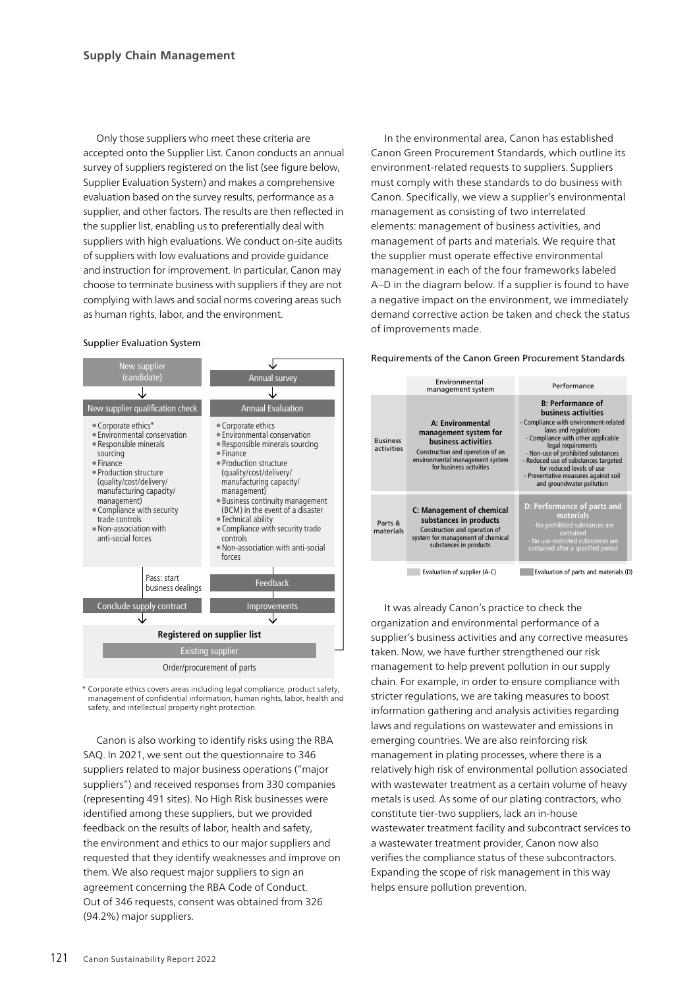Only those suppliers who meet these criteria are accepted onto the Supplier List. Canon conducts an annual survey of suppliers registered on the list (see figure below, Supplier Evaluation System) and makes a comprehensive evaluation based on the survey results, performance as a supplier, and other factors. The results are then reflected in the supplier list, enabling us to preferentially deal with suppliers with high evaluations. We conduct on-site audits of suppliers with low evaluations and provide guidance and instruction for improvement. In particular, Canon may choose to terminate business with suppliers if they are not complying with laws and social norms covering areas such as human rights, labor, and the environment.

#### Supplier Evaluation System



\* Corporate ethics covers areas including legal compliance, product safety, management of confidential information, human rights, labor, health and safety, and intellectual property right protection.

Canon is also working to identify risks using the RBA SAQ. In 2021, we sent out the questionnaire to 346 suppliers related to major business operations ("major suppliers") and received responses from 330 companies (representing 491 sites). No High Risk businesses were identified among these suppliers, but we provided feedback on the results of labor, health and safety, the environment and ethics to our major suppliers and requested that they identify weaknesses and improve on them. We also request major suppliers to sign an agreement concerning the RBA Code of Conduct. Out of 346 requests, consent was obtained from 326 (94.2%) major suppliers.

In the environmental area, Canon has established Canon Green Procurement Standards, which outline its environment-related requests to suppliers. Suppliers must comply with these standards to do business with Canon. Specifically, we view a supplier's environmental management as consisting of two interrelated elements: management of business activities, and management of parts and materials. We require that the supplier must operate effective environmental management in each of the four frameworks labeled A–D in the diagram below. If a supplier is found to have a negative impact on the environment, we immediately demand corrective action be taken and check the status of improvements made.

#### Requirements of the Canon Green Procurement Standards



It was already Canon's practice to check the organization and environmental performance of a supplier's business activities and any corrective measures taken. Now, we have further strengthened our risk management to help prevent pollution in our supply chain. For example, in order to ensure compliance with stricter regulations, we are taking measures to boost information gathering and analysis activities regarding laws and regulations on wastewater and emissions in emerging countries. We are also reinforcing risk management in plating processes, where there is a relatively high risk of environmental pollution associated with wastewater treatment as a certain volume of heavy metals is used. As some of our plating contractors, who constitute tier-two suppliers, lack an in-house wastewater treatment facility and subcontract services to a wastewater treatment provider, Canon now also verifies the compliance status of these subcontractors. Expanding the scope of risk management in this way helps ensure pollution prevention.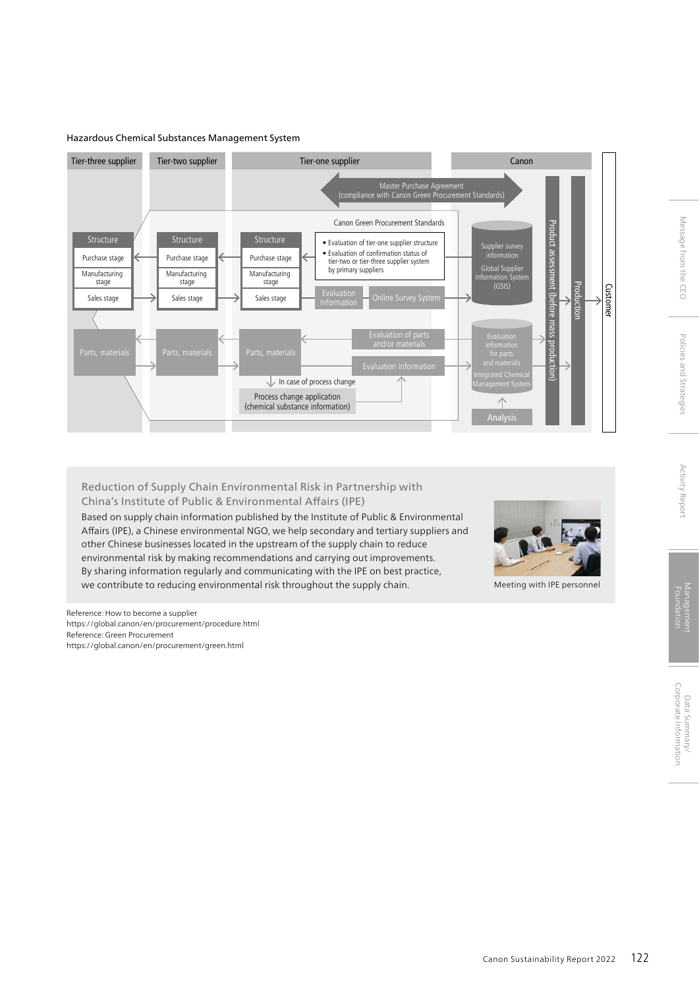#### Hazardous Chemical Substances Management System



## Reduction of Supply Chain Environmental Risk in Partnership with China's Institute of Public & Environmental Affairs (IPE)

Based on supply chain information published by the Institute of Public & Environmental Affairs (IPE), a Chinese environmental NGO, we help secondary and tertiary suppliers and other Chinese businesses located in the upstream of the supply chain to reduce environmental risk by making recommendations and carrying out improvements. By sharing information regularly and communicating with the IPE on best practice, we contribute to reducing environmental risk throughout the supply chain.



Meeting with IPE personnel

Reference: How to become a supplier https://global.canon/en/procurement/procedure.html Reference: Green Procurement https://global.canon/en/procurement/green.html

Message from the CEO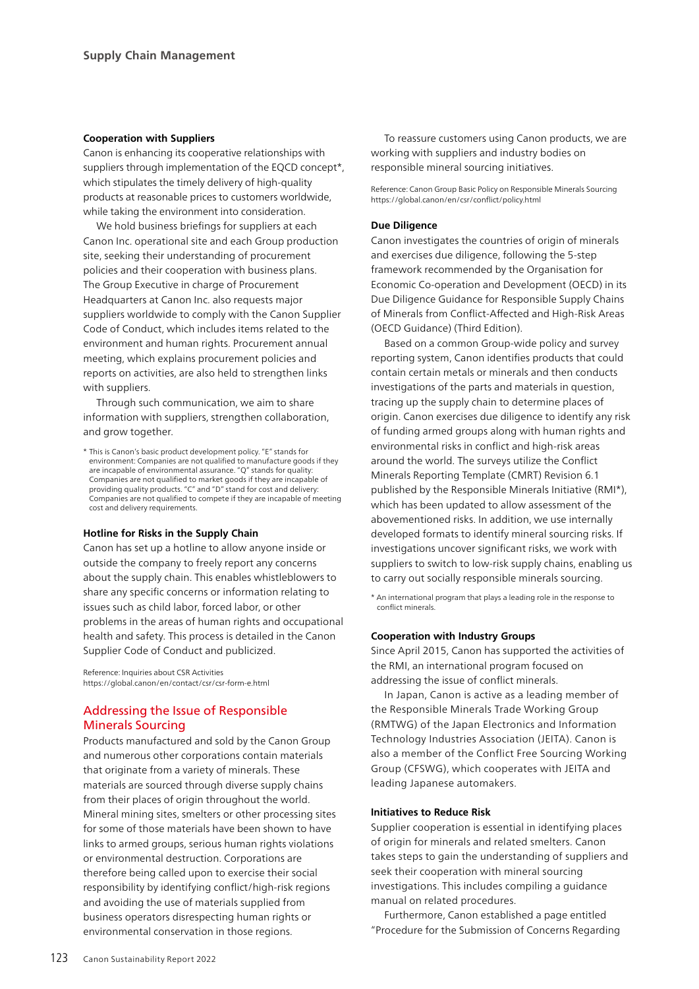#### **Cooperation with Suppliers**

Canon is enhancing its cooperative relationships with suppliers through implementation of the EQCD concept\*, which stipulates the timely delivery of high-quality products at reasonable prices to customers worldwide, while taking the environment into consideration.

We hold business briefings for suppliers at each Canon Inc. operational site and each Group production site, seeking their understanding of procurement policies and their cooperation with business plans. The Group Executive in charge of Procurement Headquarters at Canon Inc. also requests major suppliers worldwide to comply with the Canon Supplier Code of Conduct, which includes items related to the environment and human rights. Procurement annual meeting, which explains procurement policies and reports on activities, are also held to strengthen links with suppliers.

Through such communication, we aim to share information with suppliers, strengthen collaboration, and grow together.

\* This is Canon's basic product development policy. "E" stands for environment: Companies are not qualified to manufacture goods if they are incapable of environmental assurance. "Q" stands for quality: Companies are not qualified to market goods if they are incapable of providing quality products. "C" and "D" stand for cost and delivery: Companies are not qualified to compete if they are incapable of meeting cost and delivery requirements.

#### **Hotline for Risks in the Supply Chain**

Canon has set up a hotline to allow anyone inside or outside the company to freely report any concerns about the supply chain. This enables whistleblowers to share any specific concerns or information relating to issues such as child labor, forced labor, or other problems in the areas of human rights and occupational health and safety. This process is detailed in the Canon Supplier Code of Conduct and publicized.

Reference: Inquiries about CSR Activities https://global.canon/en/contact/csr/csr-form-e.html

## Addressing the Issue of Responsible Minerals Sourcing

Products manufactured and sold by the Canon Group and numerous other corporations contain materials that originate from a variety of minerals. These materials are sourced through diverse supply chains from their places of origin throughout the world. Mineral mining sites, smelters or other processing sites for some of those materials have been shown to have links to armed groups, serious human rights violations or environmental destruction. Corporations are therefore being called upon to exercise their social responsibility by identifying conflict/high-risk regions and avoiding the use of materials supplied from business operators disrespecting human rights or environmental conservation in those regions.

To reassure customers using Canon products, we are working with suppliers and industry bodies on responsible mineral sourcing initiatives.

Reference: Canon Group Basic Policy on Responsible Minerals Sourcing https://global.canon/en/csr/conflict/policy.html

## **Due Diligence**

Canon investigates the countries of origin of minerals and exercises due diligence, following the 5-step framework recommended by the Organisation for Economic Co-operation and Development (OECD) in its Due Diligence Guidance for Responsible Supply Chains of Minerals from Conflict-Affected and High-Risk Areas (OECD Guidance) (Third Edition).

Based on a common Group-wide policy and survey reporting system, Canon identifies products that could contain certain metals or minerals and then conducts investigations of the parts and materials in question, tracing up the supply chain to determine places of origin. Canon exercises due diligence to identify any risk of funding armed groups along with human rights and environmental risks in conflict and high-risk areas around the world. The surveys utilize the Conflict Minerals Reporting Template (CMRT) Revision 6.1 published by the Responsible Minerals Initiative (RMI\*), which has been updated to allow assessment of the abovementioned risks. In addition, we use internally developed formats to identify mineral sourcing risks. If investigations uncover significant risks, we work with suppliers to switch to low-risk supply chains, enabling us to carry out socially responsible minerals sourcing.

\* An international program that plays a leading role in the response to conflict minerals.

#### **Cooperation with Industry Groups**

Since April 2015, Canon has supported the activities of the RMI, an international program focused on addressing the issue of conflict minerals.

In Japan, Canon is active as a leading member of the Responsible Minerals Trade Working Group (RMTWG) of the Japan Electronics and Information Technology Industries Association (JEITA). Canon is also a member of the Conflict Free Sourcing Working Group (CFSWG), which cooperates with JEITA and leading Japanese automakers.

#### **Initiatives to Reduce Risk**

Supplier cooperation is essential in identifying places of origin for minerals and related smelters. Canon takes steps to gain the understanding of suppliers and seek their cooperation with mineral sourcing investigations. This includes compiling a guidance manual on related procedures.

Furthermore, Canon established a page entitled "Procedure for the Submission of Concerns Regarding